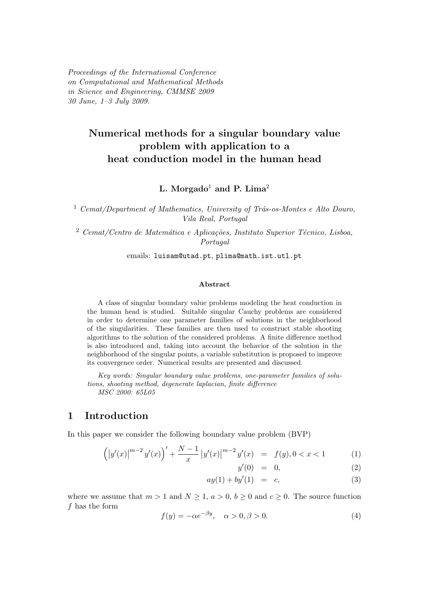Proceedings of the International Conference on Computational and Mathematical Methods in Science and Engineering, CMMSE 2009 30 June, 1–3 July 2009.

# Numerical methods for a singular boundary value problem with application to a heat conduction model in the human head

L. Morgado<sup>1</sup> and P. Lima<sup>2</sup>

 $1$  Cemat/Department of Mathematics, University of Trás-os-Montes e Alto Douro, Vila Real, Portugal

 $2$  Cemat/Centro de Matemática e Aplicações, Instituto Superior Técnico, Lisboa, Portugal

emails: luisam@utad.pt, plima@math.ist.utl.pt

#### Abstract

A class of singular boundary value problems modeling the heat conduction in the human head is studied. Suitable singular Cauchy problems are considered in order to determine one parameter families of solutions in the neighborhood of the singularities. These families are then used to construct stable shooting algorithms to the solution of the considered problems. A finite difference method is also introduced and, taking into account the behavior of the solution in the neighborhood of the singular points, a variable substitution is proposed to improve its convergence order. Numerical results are presented and discussed.

Key words: Singular boundary value problems, one-parameter families of solutions, shooting method, degenerate laplacian, finite difference MSC 2000: 65L05

#### 1 Introduction

In this paper we consider the following boundary value problem (BVP)

$$
\left( \left| y'(x) \right|^{m-2} y'(x) \right)' + \frac{N-1}{x} \left| y'(x) \right|^{m-2} y'(x) = f(y), 0 < x < 1 \tag{1}
$$
\n
$$
y'(0) = 0, \tag{2}
$$

$$
(0) = 0, \t(2)
$$

$$
ay(1) + by'(1) = c,
$$
\n
$$
(3)
$$

where we assume that  $m > 1$  and  $N \ge 1$ ,  $a > 0$ ,  $b \ge 0$  and  $c \ge 0$ . The source function  $f$  has the form

$$
f(y) = -\alpha e^{-\beta y}, \quad \alpha > 0, \beta > 0.
$$
 (4)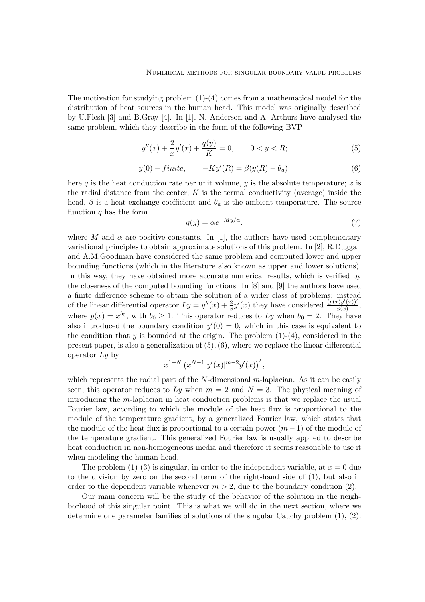The motivation for studying problem  $(1)-(4)$  comes from a mathematical model for the distribution of heat sources in the human head. This model was originally described by U.Flesh [3] and B.Gray [4]. In [1], N. Anderson and A. Arthurs have analysed the same problem, which they describe in the form of the following BVP

$$
y''(x) + \frac{2}{x}y'(x) + \frac{q(y)}{K} = 0, \qquad 0 < y < R;\tag{5}
$$

$$
y(0) - finite, \qquad -Ky'(R) = \beta(y(R) - \theta_a); \tag{6}
$$

here q is the heat conduction rate per unit volume,  $y$  is the absolute temperature;  $x$  is the radial distance from the center;  $K$  is the termal conductivity (average) inside the head,  $\beta$  is a heat exchange coefficient and  $\theta_a$  is the ambient temperature. The source function  $q$  has the form

$$
q(y) = \alpha e^{-My/\alpha},\tag{7}
$$

where M and  $\alpha$  are positive constants. In [1], the authors have used complementary variational principles to obtain approximate solutions of this problem. In [2], R.Duggan and A.M.Goodman have considered the same problem and computed lower and upper bounding functions (which in the literature also known as upper and lower solutions). In this way, they have obtained more accurate numerical results, which is verified by the closeness of the computed bounding functions. In [8] and [9] the authors have used a finite difference scheme to obtain the solution of a wider class of problems: instead of the linear differential operator  $Ly = y''(x) + \frac{2}{x}y'(x)$  they have considered  $\frac{(p(x)y'(x))'}{p(x)}$  $\frac{f(y(x))}{p(x)},$ where  $p(x) = x^{b_0}$ , with  $b_0 \ge 1$ . This operator reduces to Ly when  $b_0 = 2$ . They have also introduced the boundary condition  $y'(0) = 0$ , which in this case is equivalent to the condition that y is bounded at the origin. The problem  $(1)-(4)$ , considered in the present paper, is also a generalization of  $(5)$ ,  $(6)$ , where we replace the linear differential operator  $Ly$  by

$$
x^{1-N} (x^{N-1}|y'(x)|^{m-2}y'(x))',
$$

which represents the radial part of the  $N$ -dimensional m-laplacian. As it can be easily seen, this operator reduces to Ly when  $m = 2$  and  $N = 3$ . The physical meaning of introducing the m-laplacian in heat conduction problems is that we replace the usual Fourier law, according to which the module of the heat flux is proportional to the module of the temperature gradient, by a generalized Fourier law, which states that the module of the heat flux is proportional to a certain power  $(m-1)$  of the module of the temperature gradient. This generalized Fourier law is usually applied to describe heat conduction in non-homogeneous media and therefore it seems reasonable to use it when modeling the human head.

The problem (1)-(3) is singular, in order to the independent variable, at  $x = 0$  due to the division by zero on the second term of the right-hand side of (1), but also in order to the dependent variable whenever  $m > 2$ , due to the boundary condition (2).

Our main concern will be the study of the behavior of the solution in the neighborhood of this singular point. This is what we will do in the next section, where we determine one parameter families of solutions of the singular Cauchy problem (1), (2).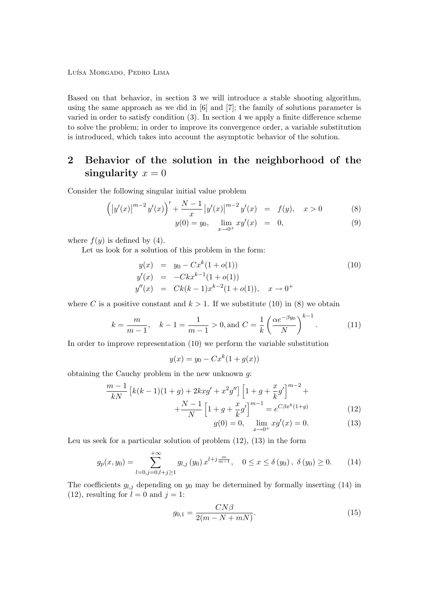Luísa Morgado, Pedro Lima

Based on that behavior, in section 3 we will introduce a stable shooting algorithm, using the same approach as we did in [6] and [7]; the family of solutions parameter is varied in order to satisfy condition (3). In section 4 we apply a finite difference scheme to solve the problem; in order to improve its convergence order, a variable substitution is introduced, which takes into account the asymptotic behavior of the solution.

# 2 Behavior of the solution in the neighborhood of the singularity  $x = 0$

Consider the following singular initial value problem

$$
\left( \left| y'(x) \right|^{m-2} y'(x) \right)' + \frac{N-1}{x} \left| y'(x) \right|^{m-2} y'(x) = f(y), \quad x > 0 \tag{8}
$$

$$
y(0) = y_0, \quad \lim_{x \to 0^+} xy'(x) = 0,
$$
\n(9)

where  $f(y)$  is defined by (4).

Let us look for a solution of this problem in the form:

$$
y(x) = y_0 - Cx^k(1 + o(1))
$$
  
\n
$$
y'(x) = -Ckx^{k-1}(1 + o(1))
$$
  
\n
$$
y''(x) = Ck(k-1)x^{k-2}(1 + o(1)), \quad x \to 0^+
$$
\n(10)

where C is a positive constant and  $k > 1$ . If we substitute (10) in (8) we obtain

$$
k = \frac{m}{m-1}
$$
,  $k-1 = \frac{1}{m-1} > 0$ , and  $C = \frac{1}{k} \left( \frac{\alpha e^{-\beta y_0}}{N} \right)^{k-1}$ . (11)

In order to improve representation (10) we perform the variable substitution

$$
y(x) = y_0 - Cx^k(1 + g(x))
$$

obtaining the Cauchy problem in the new unknown  $q$ :

$$
\frac{m-1}{kN} \left[ k(k-1)(1+g) + 2kxg' + x^2g'' \right] \left[ 1 + g + \frac{x}{k}g' \right]^{m-2} +
$$

$$
+ \frac{N-1}{N} \left[ 1 + g + \frac{x}{k}g' \right]^{m-1} = e^{C\beta x^k(1+g)} \tag{12}
$$

$$
g(0) = 0, \quad \lim_{x \to 0^+} x g'(x) = 0. \tag{13}
$$

Leu us seek for a particular solution of problem (12), (13) in the form

$$
g_p(x, y_0) = \sum_{l=0, j=0, l+j \ge 1}^{+\infty} g_{l,j}(y_0) x^{l+j\frac{m}{m-1}}, \quad 0 \le x \le \delta(y_0), \ \delta(y_0) \ge 0. \tag{14}
$$

The coefficients  $g_{l,j}$  depending on  $y_0$  may be determined by formally inserting (14) in (12), resulting for  $l = 0$  and  $j = 1$ :

$$
g_{0,1} = \frac{CN\beta}{2(m - N + mN)}.\tag{15}
$$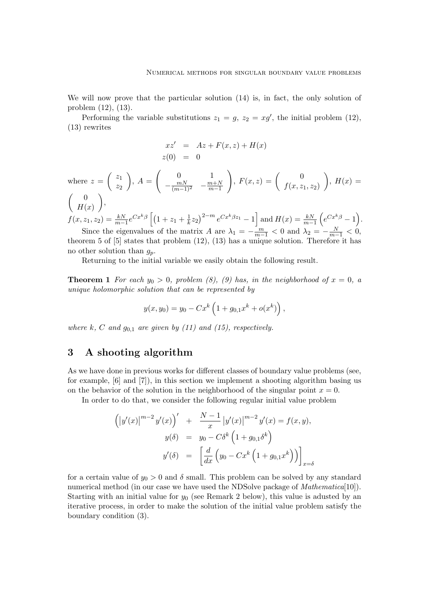We will now prove that the particular solution (14) is, in fact, the only solution of problem (12), (13).

Performing the variable substitutions  $z_1 = g$ ,  $z_2 = xg'$ , the initial problem (12), (13) rewrites

$$
xz' = Az + F(x, z) + H(x)
$$
  
z(0) = 0

where 
$$
z = \begin{pmatrix} z_1 \\ z_2 \end{pmatrix}
$$
,  $A = \begin{pmatrix} 0 & 1 \\ -\frac{mN}{(m-1)^2} & -\frac{m+N}{m-1} \end{pmatrix}$ ,  $F(x, z) = \begin{pmatrix} 0 \\ f(x, z_1, z_2) \end{pmatrix}$ ,  $H(x) = \begin{pmatrix} 0 \\ H(x) \end{pmatrix}$ ,  
\n $f(x, z_1, z_2) = \frac{kN}{m-1} e^{Cx^k \beta} \left[ (1 + z_1 + \frac{1}{k} z_2)^{2-m} e^{Cx^k \beta z_1} - 1 \right]$  and  $H(x) = \frac{kN}{m-1} \left( e^{Cx^k \beta} - 1 \right)$ .

Since the eigenvalues of the matrix A are  $\lambda_1 = -\frac{m}{m-1} < 0$  and  $\lambda_2 = -\frac{N}{m-1} < 0$ , theorem 5 of [5] states that problem (12), (13) has a unique solution. Therefore it has no other solution than  $g_p$ .

Returning to the initial variable we easily obtain the following result.

**Theorem 1** For each  $y_0 > 0$ , problem (8), (9) has, in the neighborhood of  $x = 0$ , a unique holomorphic solution that can be represented by

$$
y(x, y_0) = y_0 - Cx^k \left(1 + g_{0,1}x^k + o(x^k)\right),
$$

where k, C and  $g_{0,1}$  are given by (11) and (15), respectively.

### 3 A shooting algorithm

As we have done in previous works for different classes of boundary value problems (see, for example, [6] and [7]), in this section we implement a shooting algorithm basing us on the behavior of the solution in the neighborhood of the singular point  $x = 0$ .

In order to do that, we consider the following regular initial value problem

$$
\left( \left| y'(x) \right|^{m-2} y'(x) \right)' + \frac{N-1}{x} \left| y'(x) \right|^{m-2} y'(x) = f(x, y),
$$
  

$$
y(\delta) = y_0 - C\delta^k \left( 1 + g_{0,1} \delta^k \right)
$$
  

$$
y'(\delta) = \left[ \frac{d}{dx} \left( y_0 - Cx^k \left( 1 + g_{0,1} x^k \right) \right) \right]_{x=\delta}
$$

for a certain value of  $y_0 > 0$  and  $\delta$  small. This problem can be solved by any standard numerical method (in our case we have used the NDSolve package of *Mathematica*<sup>[10]</sup>). Starting with an initial value for  $y_0$  (see Remark 2 below), this value is adusted by an iterative process, in order to make the solution of the initial value problem satisfy the boundary condition (3).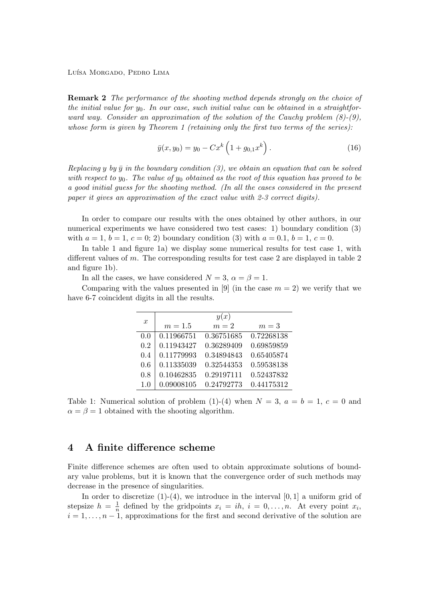Luísa Morgado, Pedro Lima

Remark 2 The performance of the shooting method depends strongly on the choice of the initial value for  $y_0$ . In our case, such initial value can be obtained in a straightforward way. Consider an approximation of the solution of the Cauchy problem  $(8)-(9)$ , whose form is given by Theorem 1 (retaining only the first two terms of the series):

$$
\bar{y}(x, y_0) = y_0 - Cx^k \left( 1 + g_{0,1} x^k \right). \tag{16}
$$

Replacing y by  $\bar{y}$  in the boundary condition (3), we obtain an equation that can be solved with respect to  $y_0$ . The value of  $y_0$  obtained as the root of this equation has proved to be a good initial guess for the shooting method. (In all the cases considered in the present paper it gives an approximation of the exact value with 2-3 correct digits).

In order to compare our results with the ones obtained by other authors, in our numerical experiments we have considered two test cases: 1) boundary condition (3) with  $a = 1, b = 1, c = 0; 2$  boundary condition (3) with  $a = 0.1, b = 1, c = 0$ .

In table 1 and figure 1a) we display some numerical results for test case 1, with different values of m. The corresponding results for test case 2 are displayed in table 2 and figure 1b).

In all the cases, we have considered  $N = 3$ ,  $\alpha = \beta = 1$ .

Comparing with the values presented in [9] (in the case  $m = 2$ ) we verify that we have 6-7 coincident digits in all the results.

|                  | y(x)       |            |            |  |  |
|------------------|------------|------------|------------|--|--|
| $\boldsymbol{x}$ | $m=1.5$    | $m=2$      | $m=3$      |  |  |
| 0.0              | 0.11966751 | 0.36751685 | 0.72268138 |  |  |
| 0.2              | 0.11943427 | 0.36289409 | 0.69859859 |  |  |
| 0.4              | 0.11779993 | 0.34894843 | 0.65405874 |  |  |
| 0.6              | 0.11335039 | 0.32544353 | 0.59538138 |  |  |
| 0.8              | 0.10462835 | 0.29197111 | 0.52437832 |  |  |
| 1.0              | 0.09008105 | 0.24792773 | 0.44175312 |  |  |

Table 1: Numerical solution of problem  $(1)-(4)$  when  $N = 3$ ,  $a = b = 1$ ,  $c = 0$  and  $\alpha = \beta = 1$  obtained with the shooting algorithm.

### 4 A finite difference scheme

Finite difference schemes are often used to obtain approximate solutions of boundary value problems, but it is known that the convergence order of such methods may decrease in the presence of singularities.

In order to discretize  $(1)-(4)$ , we introduce in the interval  $[0,1]$  a uniform grid of stepsize  $h = \frac{1}{n}$  $\frac{1}{n}$  defined by the gridpoints  $x_i = ih$ ,  $i = 0, ..., n$ . At every point  $x_i$ ,  $i = 1, \ldots, n-1$ , approximations for the first and second derivative of the solution are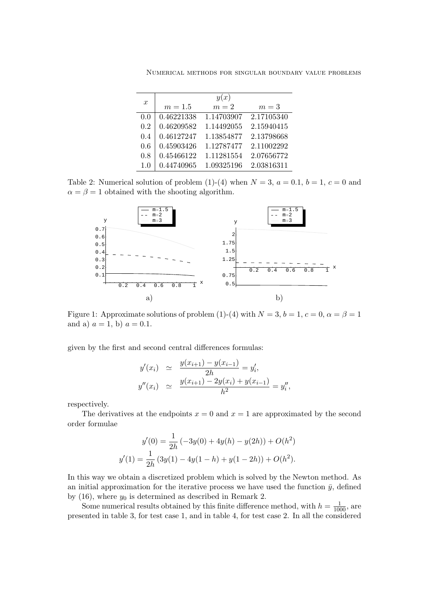Numerical methods for singular boundary value problems

|                  | y(x)       |            |            |  |  |
|------------------|------------|------------|------------|--|--|
| $\boldsymbol{x}$ | $m = 1.5$  | $m=2$      | $m=3$      |  |  |
| 0.0              | 0.46221338 | 1.14703907 | 2.17105340 |  |  |
| 0.2              | 0.46209582 | 1.14492055 | 2.15940415 |  |  |
| 0.4              | 0.46127247 | 1.13854877 | 2.13798668 |  |  |
| 0.6              | 0.45903426 | 1.12787477 | 2.11002292 |  |  |
| 0.8              | 0.45466122 | 1.11281554 | 2.07656772 |  |  |
| 1.0              | 0.44740965 | 1.09325196 | 2.03816311 |  |  |

Table 2: Numerical solution of problem (1)-(4) when  $N = 3$ ,  $a = 0.1$ ,  $b = 1$ ,  $c = 0$  and  $\alpha = \beta = 1$  obtained with the shooting algorithm.



Figure 1: Approximate solutions of problem (1)-(4) with  $N = 3$ ,  $b = 1$ ,  $c = 0$ ,  $\alpha = \beta = 1$ and a)  $a = 1$ , b)  $a = 0.1$ .

given by the first and second central differences formulas:

$$
y'(x_i) \simeq \frac{y(x_{i+1}) - y(x_{i-1})}{2h} = y'_i,
$$
  

$$
y''(x_i) \simeq \frac{y(x_{i+1}) - 2y(x_i) + y(x_{i-1})}{h^2} = y''_i,
$$

respectively.

The derivatives at the endpoints  $x = 0$  and  $x = 1$  are approximated by the second order formulae

$$
y'(0) = \frac{1}{2h} (-3y(0) + 4y(h) - y(2h)) + O(h^2)
$$
  

$$
y'(1) = \frac{1}{2h} (3y(1) - 4y(1 - h) + y(1 - 2h)) + O(h^2).
$$

In this way we obtain a discretized problem which is solved by the Newton method. As an initial approximation for the iterative process we have used the function  $\bar{y}$ , defined by (16), where  $y_0$  is determined as described in Remark 2.

Some numerical results obtained by this finite difference method, with  $h = \frac{1}{1000}$ , are presented in table 3, for test case 1, and in table 4, for test case 2. In all the considered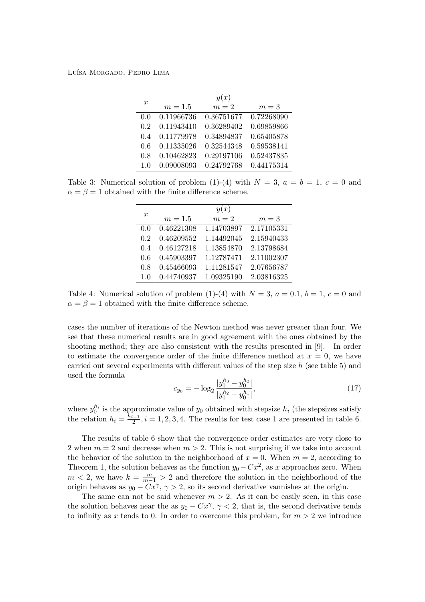Luísa Morgado, Pedro Lima

| $\boldsymbol{x}$ | y(x)       |            |            |  |  |
|------------------|------------|------------|------------|--|--|
|                  | $m=1.5$    | $m=2$      | $m=3$      |  |  |
| 0.0              | 0.11966736 | 0.36751677 | 0.72268090 |  |  |
| 0.2              | 0.11943410 | 0.36289402 | 0.69859866 |  |  |
| 0.4              | 0.11779978 | 0.34894837 | 0.65405878 |  |  |
| 0.6              | 0.11335026 | 0.32544348 | 0.59538141 |  |  |
| 0.8              | 0.10462823 | 0.29197106 | 0.52437835 |  |  |
| 1.0              | 0.09008093 | 0.24792768 | 0.44175314 |  |  |

Table 3: Numerical solution of problem (1)-(4) with  $N = 3$ ,  $a = b = 1$ ,  $c = 0$  and  $\alpha = \beta = 1$  obtained with the finite difference scheme.

|                  | y(x)       |            |            |  |  |
|------------------|------------|------------|------------|--|--|
| $\boldsymbol{x}$ | $m = 1.5$  | $m=2$      | $m=3$      |  |  |
| 0.0              | 0.46221308 | 1.14703897 | 2.17105331 |  |  |
| 0.2              | 0.46209552 | 1.14492045 | 2.15940433 |  |  |
| 0.4              | 0.46127218 | 1.13854870 | 2.13798684 |  |  |
| 0.6              | 0.45903397 | 1.12787471 | 2.11002307 |  |  |
| 0.8              | 0.45466093 | 1.11281547 | 2.07656787 |  |  |
| 1.0              | 0.44740937 | 1.09325190 | 2.03816325 |  |  |

Table 4: Numerical solution of problem (1)-(4) with  $N = 3$ ,  $a = 0.1$ ,  $b = 1$ ,  $c = 0$  and  $\alpha = \beta = 1$  obtained with the finite difference scheme.

cases the number of iterations of the Newton method was never greater than four. We see that these numerical results are in good agreement with the ones obtained by the shooting method; they are also consistent with the results presented in [9]. In order to estimate the convergence order of the finite difference method at  $x = 0$ , we have carried out several experiments with different values of the step size h (see table 5) and used the formula

$$
c_{y_0} = -\log_2 \frac{|y_0^{h_3} - y_0^{h_2}|}{|y_0^{h_2} - y_0^{h_1}|},\tag{17}
$$

where  $y_0^{h_i}$  $\binom{n_i}{0}$  is the approximate value of  $y_0$  obtained with stepsize  $h_i$  (the stepsizes satisfy the relation  $h_i = \frac{h_{i-1}}{2}$  $\frac{1}{2}$ ,  $i = 1, 2, 3, 4$ . The results for test case 1 are presented in table 6.

The results of table 6 show that the convergence order estimates are very close to 2 when  $m = 2$  and decrease when  $m > 2$ . This is not surprising if we take into account the behavior of the solution in the neighborhood of  $x = 0$ . When  $m = 2$ , according to Theorem 1, the solution behaves as the function  $y_0 - Cx^2$ , as x approaches zero. When  $m < 2$ , we have  $k = \frac{m}{m-1} > 2$  and therefore the solution in the neighborhood of the origin behaves as  $y_0 - Cx^{\gamma}, \gamma > 2$ , so its second derivative vannishes at the origin.

The same can not be said whenever  $m > 2$ . As it can be easily seen, in this case the solution behaves near the as  $y_0 - Cx^{\gamma}, \gamma < 2$ , that is, the second derivative tends to infinity as x tends to 0. In order to overcome this problem, for  $m > 2$  we introduce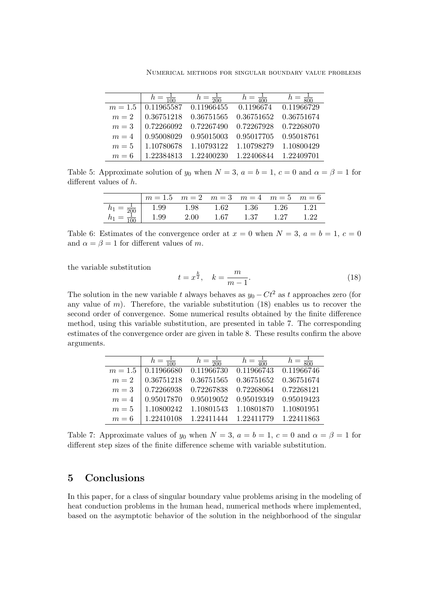Numerical methods for singular boundary value problems

| $h = \frac{1}{100}$ | $h = \frac{1}{200}$ | $h = \frac{1}{400}$ | $h = \frac{1}{800}$ |
|---------------------|---------------------|---------------------|---------------------|
| 0.11965587          | 0.11966455          | 0.1196674           | 0.11966729          |
| 0.36751218          | 0.36751565          | 0.36751652          | 0.36751674          |
| 0.72266092          | 0.72267490          | 0.72267928          | 0.72268070          |
| 0.95008029          | 0.95015003          | 0.95017705          | 0.95018761          |
| 1.10780678          | 1.10793122          | 1.10798279          | 1.10800429          |
| 1.22384813          | 1.22400230          | 1.22406844          | 1.22409701          |
|                     |                     |                     |                     |

Table 5: Approximate solution of  $y_0$  when  $N = 3$ ,  $a = b = 1$ ,  $c = 0$  and  $\alpha = \beta = 1$  for different values of h.

|                  | $m = 1.5$ $m = 2$ $m = 3$ $m = 4$ $m = 5$ $m = 6$ |      |      |      |      |      |
|------------------|---------------------------------------------------|------|------|------|------|------|
|                  | $\epsilon_1 = \frac{1}{200}$   1.99               | 1.98 | 1.62 | 1.36 | 1.26 | 1.21 |
| $\overline{100}$ | 1.99                                              | 2.00 | 1.67 | 1.37 | 1.27 | 1.22 |

Table 6: Estimates of the convergence order at  $x = 0$  when  $N = 3$ ,  $a = b = 1$ ,  $c = 0$ and  $\alpha = \beta = 1$  for different values of m.

the variable substitution

$$
t = x^{\frac{k}{2}}, \quad k = \frac{m}{m-1}.
$$
 (18)

The solution in the new variable t always behaves as  $y_0 - Ct^2$  as t approaches zero (for any value of  $m$ ). Therefore, the variable substitution  $(18)$  enables us to recover the second order of convergence. Some numerical results obtained by the finite difference method, using this variable substitution, are presented in table 7. The corresponding estimates of the convergence order are given in table 8. These results confirm the above arguments.

|           | $h = \frac{1}{100}$ | $h = \frac{1}{200}$                                    | $h = \frac{1}{400}$ | $h = \frac{1}{800}$ |
|-----------|---------------------|--------------------------------------------------------|---------------------|---------------------|
| $m = 1.5$ | 0.11966680          | $\boxed{0.11966730 \quad 0.11966743 \quad 0.11966746}$ |                     |                     |
| $m=2$     | 0.36751218          | $0.36751565$ $0.36751652$ $0.36751674$                 |                     |                     |
| $m=3$     | $\mid 0.72266938$   | 0.72267838  0.72268064  0.72268121                     |                     |                     |
| $m=4$     | 0.95017870          | 0.95019052 0.95019349 0.95019423                       |                     |                     |
| $m=5$     | 1.10800242          | 1.10801543                                             | 1.10801870          | 1.10801951          |
| $m=6$     | 1.22410108          | 1.22411444                                             | 1.22411779          | 1.22411863          |

Table 7: Approximate values of  $y_0$  when  $N = 3$ ,  $a = b = 1$ ,  $c = 0$  and  $\alpha = \beta = 1$  for different step sizes of the finite difference scheme with variable substitution.

### 5 Conclusions

In this paper, for a class of singular boundary value problems arising in the modeling of heat conduction problems in the human head, numerical methods where implemented, based on the asymptotic behavior of the solution in the neighborhood of the singular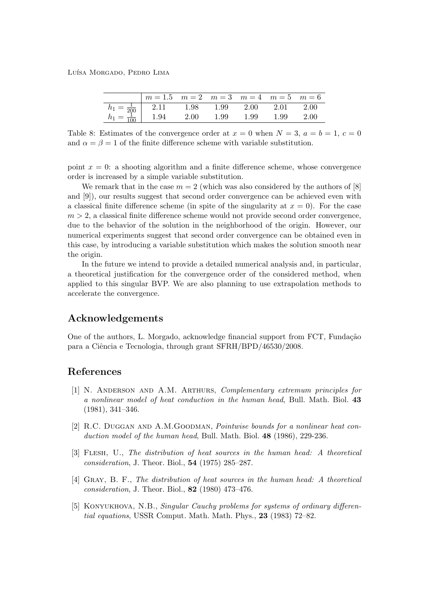Luísa Morgado, Pedro Lima

|                   | $m = 1.5$ $m = 2$ $m = 3$ $m = 4$ $m = 5$ $m = 6$ |      |      |          |      |      |
|-------------------|---------------------------------------------------|------|------|----------|------|------|
|                   | 2.11 1.98                                         |      | 1.99 | $2.00\,$ | 2.01 | 2.00 |
| $\frac{1}{100}$ 1 | 1.94                                              | 2.00 | 1.99 | 1.99     | 1.99 | 2.00 |

Table 8: Estimates of the convergence order at  $x = 0$  when  $N = 3$ ,  $a = b = 1$ ,  $c = 0$ and  $\alpha = \beta = 1$  of the finite difference scheme with variable substitution.

point  $x = 0$ : a shooting algorithm and a finite difference scheme, whose convergence order is increased by a simple variable substitution.

We remark that in the case  $m = 2$  (which was also considered by the authors of [8] and [9]), our results suggest that second order convergence can be achieved even with a classical finite difference scheme (in spite of the singularity at  $x = 0$ ). For the case  $m > 2$ , a classical finite difference scheme would not provide second order convergence, due to the behavior of the solution in the neighborhood of the origin. However, our numerical experiments suggest that second order convergence can be obtained even in this case, by introducing a variable substitution which makes the solution smooth near the origin.

In the future we intend to provide a detailed numerical analysis and, in particular, a theoretical justification for the convergence order of the considered method, when applied to this singular BVP. We are also planning to use extrapolation methods to accelerate the convergence.

## Acknowledgements

One of the authors, L. Morgado, acknowledge financial support from FCT, Fundação para a Ciˆencia e Tecnologia, through grant SFRH/BPD/46530/2008.

### References

- [1] N. Anderson and A.M. Arthurs, Complementary extremum principles for a nonlinear model of heat conduction in the human head, Bull. Math. Biol. 43 (1981), 341–346.
- [2] R.C. Duggan and A.M.Goodman, Pointwise bounds for a nonlinear heat conduction model of the human head, Bull. Math. Biol. 48 (1986), 229-236.
- [3] Flesh, U., The distribution of heat sources in the human head: A theoretical consideration, J. Theor. Biol., 54 (1975) 285–287.
- [4] Gray, B. F., The distribution of heat sources in the human head: A theoretical consideration, J. Theor. Biol., 82 (1980) 473–476.
- [5] Konyukhova, N.B., Singular Cauchy problems for systems of ordinary differential equations, USSR Comput. Math. Math. Phys., 23 (1983) 72–82.